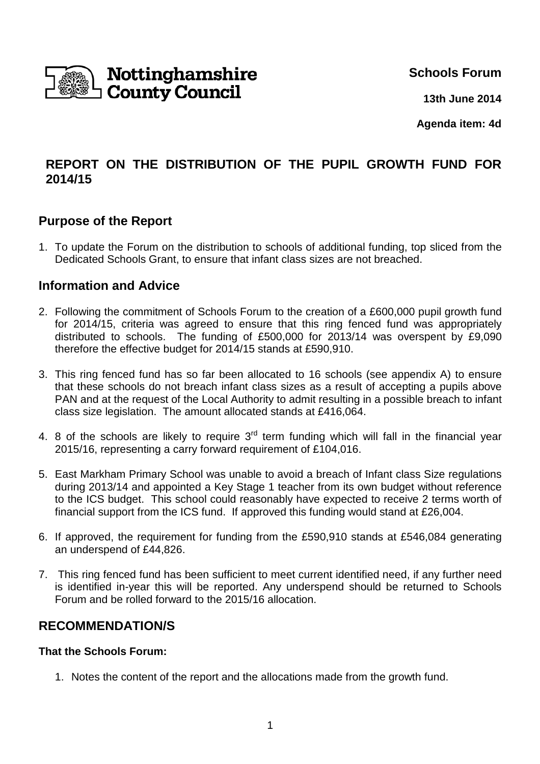

**Schools Forum**

**13th June 2014**

**Agenda item: 4d**

# **REPORT ON THE DISTRIBUTION OF THE PUPIL GROWTH FUND FOR 2014/15**

### **Purpose of the Report**

1. To update the Forum on the distribution to schools of additional funding, top sliced from the Dedicated Schools Grant, to ensure that infant class sizes are not breached.

### **Information and Advice**

- 2. Following the commitment of Schools Forum to the creation of a £600,000 pupil growth fund for 2014/15, criteria was agreed to ensure that this ring fenced fund was appropriately distributed to schools. The funding of £500,000 for 2013/14 was overspent by £9,090 therefore the effective budget for 2014/15 stands at £590,910.
- 3. This ring fenced fund has so far been allocated to 16 schools (see appendix A) to ensure that these schools do not breach infant class sizes as a result of accepting a pupils above PAN and at the request of the Local Authority to admit resulting in a possible breach to infant class size legislation. The amount allocated stands at £416,064.
- 4. 8 of the schools are likely to require  $3<sup>rd</sup>$  term funding which will fall in the financial year 2015/16, representing a carry forward requirement of £104,016.
- 5. East Markham Primary School was unable to avoid a breach of Infant class Size regulations during 2013/14 and appointed a Key Stage 1 teacher from its own budget without reference to the ICS budget. This school could reasonably have expected to receive 2 terms worth of financial support from the ICS fund. If approved this funding would stand at £26,004.
- 6. If approved, the requirement for funding from the £590,910 stands at £546,084 generating an underspend of £44,826.
- 7. This ring fenced fund has been sufficient to meet current identified need, if any further need is identified in-year this will be reported. Any underspend should be returned to Schools Forum and be rolled forward to the 2015/16 allocation.

## **RECOMMENDATION/S**

#### **That the Schools Forum:**

1. Notes the content of the report and the allocations made from the growth fund.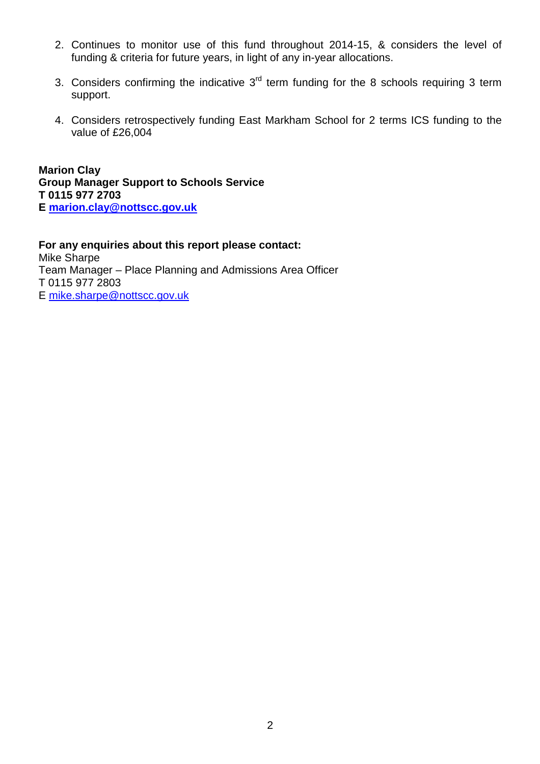- 2. Continues to monitor use of this fund throughout 2014-15, & considers the level of funding & criteria for future years, in light of any in-year allocations.
- 3. Considers confirming the indicative  $3<sup>rd</sup>$  term funding for the 8 schools requiring 3 term support.
- 4. Considers retrospectively funding East Markham School for 2 terms ICS funding to the value of £26,004

**Marion Clay Group Manager Support to Schools Service T 0115 977 2703 E marion.clay@nottscc.gov.uk**

**For any enquiries about this report please contact:** Mike Sharpe Team Manager – Place Planning and Admissions Area Officer T 0115 977 2803 E mike.sharpe@nottscc.gov.uk